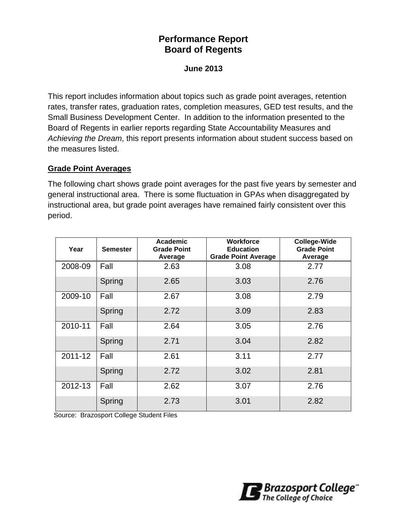# **Performance Report Board of Regents**

**June 2013**

This report includes information about topics such as grade point averages, retention rates, transfer rates, graduation rates, completion measures, GED test results, and the Small Business Development Center. In addition to the information presented to the Board of Regents in earlier reports regarding State Accountability Measures and *Achieving the Dream*, this report presents information about student success based on the measures listed.

#### **Grade Point Averages**

The following chart shows grade point averages for the past five years by semester and general instructional area. There is some fluctuation in GPAs when disaggregated by instructional area, but grade point averages have remained fairly consistent over this period.

| Year    | <b>Semester</b> | Academic<br><b>Grade Point</b><br>Average | <b>Workforce</b><br><b>Education</b><br><b>Grade Point Average</b> | <b>College-Wide</b><br><b>Grade Point</b><br>Average |  |
|---------|-----------------|-------------------------------------------|--------------------------------------------------------------------|------------------------------------------------------|--|
| 2008-09 | Fall            | 2.63                                      | 3.08                                                               | 2.77                                                 |  |
|         | Spring          | 2.65                                      | 3.03                                                               | 2.76                                                 |  |
| 2009-10 | Fall            | 2.67                                      | 3.08                                                               | 2.79                                                 |  |
|         | Spring          | 2.72                                      | 3.09                                                               | 2.83                                                 |  |
| 2010-11 | Fall            | 2.64                                      | 3.05                                                               | 2.76                                                 |  |
|         | Spring          | 2.71                                      | 3.04                                                               | 2.82                                                 |  |
| 2011-12 | Fall            | 2.61                                      | 3.11                                                               | 2.77                                                 |  |
|         | Spring          | 2.72                                      | 3.02                                                               | 2.81                                                 |  |
| 2012-13 | Fall            | 2.62                                      | 3.07                                                               | 2.76                                                 |  |
|         | Spring          | 2.73                                      | 3.01                                                               | 2.82                                                 |  |

Source: Brazosport College Student Files

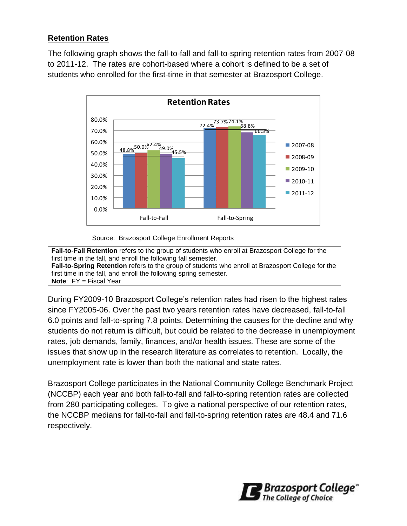## **Retention Rates**

The following graph shows the fall-to-fall and fall-to-spring retention rates from 2007-08 to 2011-12. The rates are cohort-based where a cohort is defined to be a set of students who enrolled for the first-time in that semester at Brazosport College.



#### Source: Brazosport College Enrollment Reports

**Fall-to-Fall Retention** refers to the group of students who enroll at Brazosport College for the first time in the fall, and enroll the following fall semester. **Fall-to-Spring Retention** refers to the group of students who enroll at Brazosport College for the first time in the fall, and enroll the following spring semester. **Note**: FY = Fiscal Year

During FY2009-10 Brazosport College's retention rates had risen to the highest rates since FY2005-06. Over the past two years retention rates have decreased, fall-to-fall 6.0 points and fall-to-spring 7.8 points. Determining the causes for the decline and why students do not return is difficult, but could be related to the decrease in unemployment rates, job demands, family, finances, and/or health issues. These are some of the issues that show up in the research literature as correlates to retention. Locally, the unemployment rate is lower than both the national and state rates.

Brazosport College participates in the National Community College Benchmark Project (NCCBP) each year and both fall-to-fall and fall-to-spring retention rates are collected from 280 participating colleges. To give a national perspective of our retention rates, the NCCBP medians for fall-to-fall and fall-to-spring retention rates are 48.4 and 71.6 respectively.

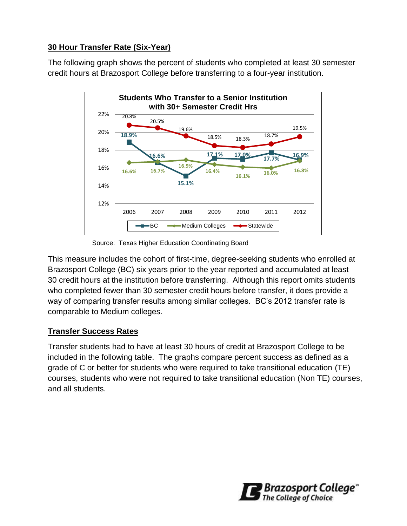## **30 Hour Transfer Rate (Six-Year)**

The following graph shows the percent of students who completed at least 30 semester credit hours at Brazosport College before transferring to a four-year institution.



Source: Texas Higher Education Coordinating Board

This measure includes the cohort of first-time, degree-seeking students who enrolled at Brazosport College (BC) six years prior to the year reported and accumulated at least 30 credit hours at the institution before transferring. Although this report omits students who completed fewer than 30 semester credit hours before transfer, it does provide a way of comparing transfer results among similar colleges. BC's 2012 transfer rate is comparable to Medium colleges.

## **Transfer Success Rates**

Transfer students had to have at least 30 hours of credit at Brazosport College to be included in the following table. The graphs compare percent success as defined as a grade of C or better for students who were required to take transitional education (TE) courses, students who were not required to take transitional education (Non TE) courses, and all students.

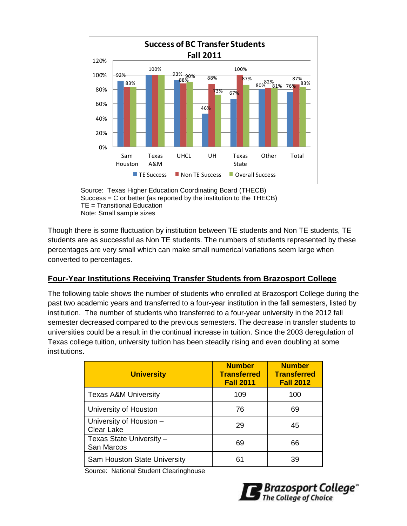

Source: Texas Higher Education Coordinating Board (THECB) Success = C or better (as reported by the institution to the THECB) TE = Transitional Education Note: Small sample sizes

Though there is some fluctuation by institution between TE students and Non TE students, TE students are as successful as Non TE students. The numbers of students represented by these percentages are very small which can make small numerical variations seem large when converted to percentages.

## **Four-Year Institutions Receiving Transfer Students from Brazosport College**

The following table shows the number of students who enrolled at Brazosport College during the past two academic years and transferred to a four-year institution in the fall semesters, listed by institution. The number of students who transferred to a four-year university in the 2012 fall semester decreased compared to the previous semesters. The decrease in transfer students to universities could be a result in the continual increase in tuition. Since the 2003 deregulation of Texas college tuition, university tuition has been steadily rising and even doubling at some institutions.

| <b>University</b>                            | <b>Number</b><br><b>Transferred</b><br><b>Fall 2011</b> | <b>Number</b><br><b>Transferred</b><br><b>Fall 2012</b> |
|----------------------------------------------|---------------------------------------------------------|---------------------------------------------------------|
| <b>Texas A&amp;M University</b>              | 109                                                     | 100                                                     |
| University of Houston                        | 76                                                      | 69                                                      |
| University of Houston -<br><b>Clear Lake</b> | 29                                                      | 45                                                      |
| Texas State University -<br>San Marcos       | 69                                                      | 66                                                      |
| Sam Houston State University                 | 61                                                      | 39                                                      |

Source: National Student Clearinghouse

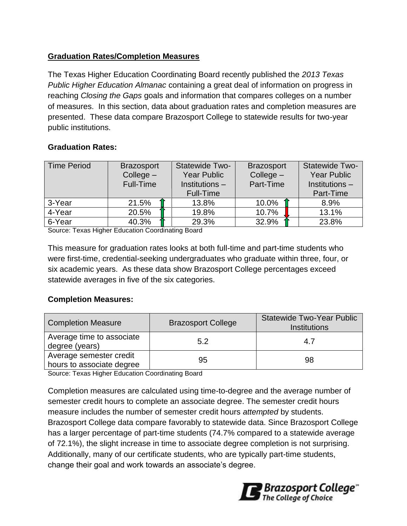## **Graduation Rates/Completion Measures**

The Texas Higher Education Coordinating Board recently published the *2013 Texas Public Higher Education Almanac* containing a great deal of information on progress in reaching *Closing the Gaps* goals and information that compares colleges on a number of measures. In this section, data about graduation rates and completion measures are presented. These data compare Brazosport College to statewide results for two-year public institutions.

## **Graduation Rates:**

| <b>Time Period</b> | <b>Brazosport</b><br>$Collect -$<br><b>Full-Time</b> | Statewide Two-<br><b>Year Public</b><br>Institutions -<br><b>Full-Time</b> | <b>Brazosport</b><br>$Collect -$<br>Part-Time |  | Statewide Two-<br><b>Year Public</b><br>Institutions-<br>Part-Time |
|--------------------|------------------------------------------------------|----------------------------------------------------------------------------|-----------------------------------------------|--|--------------------------------------------------------------------|
| 3-Year             | 21.5%                                                | 13.8%                                                                      | 10.0%                                         |  | 8.9%                                                               |
| 4-Year             | 20.5%                                                | 19.8%                                                                      | 10.7%                                         |  | 13.1%                                                              |
| 6-Year             | 40.3%                                                | 29.3%                                                                      | 32.9%                                         |  | 23.8%                                                              |

Source: Texas Higher Education Coordinating Board

This measure for graduation rates looks at both full-time and part-time students who were first-time, credential-seeking undergraduates who graduate within three, four, or six academic years. As these data show Brazosport College percentages exceed statewide averages in five of the six categories.

#### **Completion Measures:**

| <b>Completion Measure</b>                            | <b>Brazosport College</b> | <b>Statewide Two-Year Public</b><br>Institutions |
|------------------------------------------------------|---------------------------|--------------------------------------------------|
| Average time to associate<br>degree (years)          | 5.2                       | 4.7                                              |
| Average semester credit<br>hours to associate degree | 95                        | 98                                               |

Source: Texas Higher Education Coordinating Board

Completion measures are calculated using time-to-degree and the average number of semester credit hours to complete an associate degree. The semester credit hours measure includes the number of semester credit hours *attempted* by students. Brazosport College data compare favorably to statewide data. Since Brazosport College has a larger percentage of part-time students (74.7% compared to a statewide average of 72.1%), the slight increase in time to associate degree completion is not surprising. Additionally, many of our certificate students, who are typically part-time students, change their goal and work towards an associate's degree.